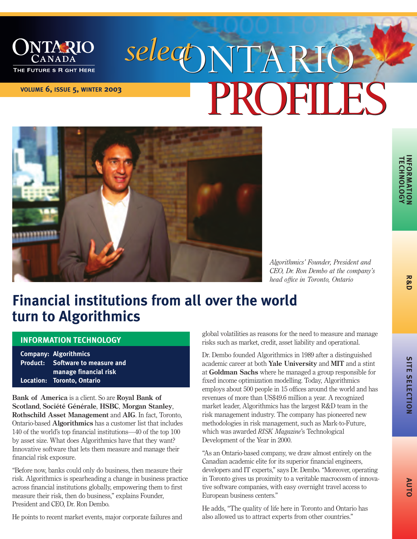

# **VOLUME 6, ISSUE 5, WINTER 2003**  *select*ONTARIO ONTARIO PROFILES



*Algorithmics' Founder, President and CEO, Dr. Ron Dembo at the company's head office in Toronto, Ontario*

**INFORMA NFORMATION<br>TECHNOLOGY TECHNOLOGY**

**AUT O**

# **Financial institutions from all over the world turn to Algorithmics**

### **INFORMATION TECHNOLOGY**

**Company: Algorithmics Product: Software to measure and manage financial risk Location: Toronto, Ontario**

**Bank of America** is a client. So are **Royal Bank of Scotland**, **Société Générale**, **HSBC**, **Morgan Stanley**, **Rothschild Asset Management** and **AIG**. In fact, Toronto, Ontariobased **Algorithmics** has a customer list that includes 140 of the world's top financial institutions—40 of the top 100 by asset size. What does Algorithmics have that they want? Innovative software that lets them measure and manage their financial risk exposure.

"Before now, banks could only do business, then measure their risk. Algorithmics is spearheading a change in business practice across financial institutions globally, empowering them to first measure their risk, then do business," explains Founder, President and CEO, Dr. Ron Dembo.

He points to recent market events, major corporate failures and

global volatilities as reasons for the need to measure and manage risks such as market, credit, asset liability and operational.

Dr. Dembo founded Algorithmics in 1989 after a distinguished academic career at both **Yale University** and **MIT** and a stint at **Goldman Sachs** where he managed a group responsible for fixed income optimization modelling. Today, Algorithmics employs about 500 people in 15 offices around the world and has revenues of more than US\$49.6 million a year. A recognized market leader, Algorithmics has the largest R&D team in the risk management industry. The company has pioneered new methodologies in risk management, such as Mark-to-Future, which was awarded *RISK Magazine*'s Technological Development of the Year in 2000.

"As an Ontario-based company, we draw almost entirely on the Canadian academic elite for its superior financial engineers, developers and IT experts," says Dr. Dembo. "Moreover, operating in Toronto gives us proximity to a veritable macrocosm of innovative software companies, with easy overnight travel access to European business centers."

He adds, "The quality of life here in Toronto and Ontario has also allowed us to attract experts from other countries."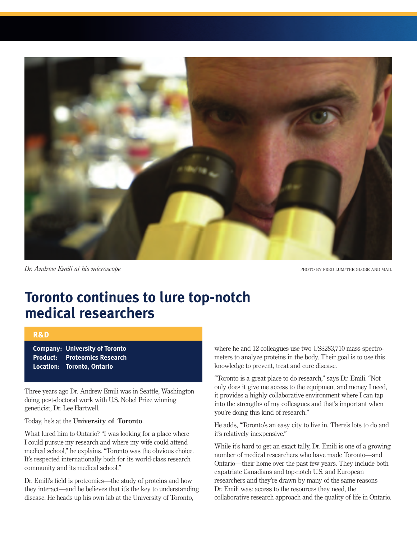

*Dr. Andrew Emili at his microscope* PHOTO BY FRED LUM/THE GLOBE AND MAIL

### **Toronto continues to lure top-notch medical researchers**

#### **R&D**

**Company: University of Toronto Product: Proteomics Research Location: Toronto, Ontario**

Three years ago Dr. Andrew Emili was in Seattle, Washington doing post-doctoral work with U.S. Nobel Prize winning geneticist, Dr. Lee Hartwell.

#### Today, he's at the **University of Toronto**.

What lured him to Ontario? "I was looking for a place where I could pursue my research and where my wife could attend medical school," he explains. "Toronto was the obvious choice. It's respected internationally both for its world-class research community and its medical school."

Dr. Emili's field is proteomics—the study of proteins and how they interact—and he believes that it's the key to understanding disease. He heads up his own lab at the University of Toronto,

where he and 12 colleagues use two US\$283,710 mass spectrometers to analyze proteins in the body. Their goal is to use this knowledge to prevent, treat and cure disease.

"Toronto is a great place to do research," says Dr. Emili. "Not only does it give me access to the equipment and money I need, it provides a highly collaborative environment where I can tap into the strengths of my colleagues and that's important when you're doing this kind of research."

He adds, "Toronto's an easy city to live in. There's lots to do and it's relatively inexpensive."

While it's hard to get an exact tally, Dr. Emili is one of a growing number of medical researchers who have made Toronto—and Ontario—their home over the past few years. They include both expatriate Canadians and top-notch U.S. and European researchers and they're drawn by many of the same reasons Dr. Emili was: access to the resources they need, the collaborative research approach and the quality of life in Ontario.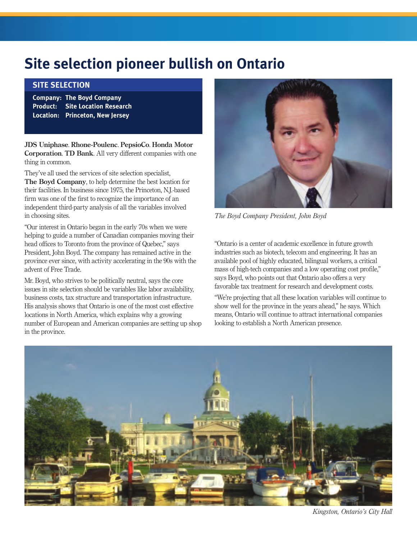# **Site selection pioneer bullish on Ontario**

### **SITE SELECTION**

**Company: The Boyd Company Product: Site Location Research Location: Princeton, New Jersey**

**JDS Uniphase**. **RhonePoulenc**. **PepsioCo**. **Honda Motor Corporation**. **TD Bank**. All very different companies with one thing in common.

They've all used the services of site selection specialist, **The Boyd Company**, to help determine the best location for their facilities. In business since 1975, the Princeton, N.J.based firm was one of the first to recognize the importance of an independent third-party analysis of all the variables involved in choosing sites.

"Our interest in Ontario began in the early 70s when we were helping to guide a number of Canadian companies moving their head offices to Toronto from the province of Quebec," says President, John Boyd. The company has remained active in the province ever since, with activity accelerating in the 90s with the advent of Free Trade.

Mr. Boyd, who strives to be politically neutral, says the core issues in site selection should be variables like labor availability, business costs, tax structure and transportation infrastructure. His analysis shows that Ontario is one of the most cost effective locations in North America, which explains why a growing number of European and American companies are setting up shop in the province.



*The Boyd Company President, John Boyd*

"Ontario is a center of academic excellence in future growth industries such as biotech, telecom and engineering. It has an available pool of highly educated, bilingual workers, a critical mass of high-tech companies and a low operating cost profile," says Boyd, who points out that Ontario also offers a very favorable tax treatment for research and development costs.

"We're projecting that all these location variables will continue to show well for the province in the years ahead," he says. Which means, Ontario will continue to attract international companies looking to establish a North American presence.



*Kingston, Ontario's City Hall*